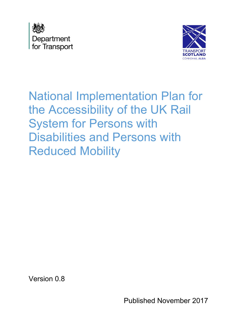



National Implementation Plan for the Accessibility of the UK Rail System for Persons with Disabilities and Persons with Reduced Mobility

Version 0.8

Published November 2017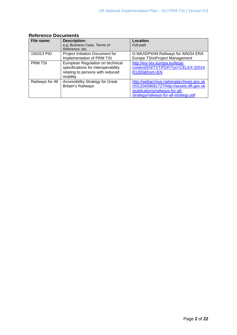| File name:       | <b>Description:</b>                     | Location                                  |
|------------------|-----------------------------------------|-------------------------------------------|
|                  | e.g. Business Case, Terms of            | Full path                                 |
|                  | Reference, etc.                         |                                           |
| 150313 PID       | Project Initiation Document for         | G:\MU\DP\049 Railways for All\034 ERA     |
|                  | Implementation of PRM TSI               | Europe TSIs\Project Management            |
| <b>PRM TSI</b>   | European Regulation on technical        | http://eur-lex.europa.eu/legal-           |
|                  | specifications for interoperability     | content/EN/TXT/PDF/?uri=CELEX:32014       |
|                  | relating to persons with reduced        | R1300&from=EN                             |
|                  | mobility                                |                                           |
| Railways for All | <b>Accessibility Strategy for Great</b> | http://webarchive.nationalarchives.gov.uk |
|                  | <b>Britain's Railways</b>               | /20120409061727/http://assets.dft.gov.uk  |
|                  |                                         | /publications/railways-for-all-           |
|                  |                                         | strategy/railways-for-all-strategy.pdf    |

# **Reference Documents**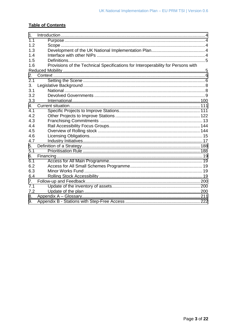#### **Table of Contents**

| 1 <sub>1</sub> |                                                                                  |  |
|----------------|----------------------------------------------------------------------------------|--|
| 1.1            |                                                                                  |  |
| 1.2            |                                                                                  |  |
| 1.3            |                                                                                  |  |
| 1.4            |                                                                                  |  |
| 1.5            |                                                                                  |  |
| 1.6            | Provisions of the Technical Specifications for Interoperability for Persons with |  |
|                |                                                                                  |  |
| 2.             |                                                                                  |  |
| 2.1            |                                                                                  |  |
| 3.             |                                                                                  |  |
| 3.1            |                                                                                  |  |
| 3.2            |                                                                                  |  |
| 3.3            |                                                                                  |  |
| 4.             |                                                                                  |  |
| 4.1            |                                                                                  |  |
| 4.2            |                                                                                  |  |
| 4.3            |                                                                                  |  |
| 4.4            |                                                                                  |  |
| 4.5            |                                                                                  |  |
| 4.6            |                                                                                  |  |
| 4.7            |                                                                                  |  |
| 5.             |                                                                                  |  |
| 5.1            |                                                                                  |  |
| 6.             |                                                                                  |  |
| 6.1            |                                                                                  |  |
| 6.2            |                                                                                  |  |
| 6.3            |                                                                                  |  |
| 6.4            |                                                                                  |  |
| 7.             |                                                                                  |  |
| 7.1            |                                                                                  |  |
| 7.2            |                                                                                  |  |
| 8.             |                                                                                  |  |
| 9.             |                                                                                  |  |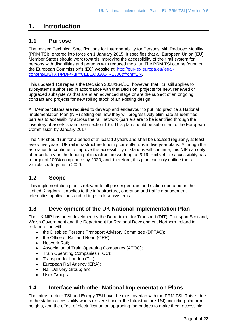# <span id="page-3-0"></span>**1. Introduction**

# **1.1 Purpose**

 (PRM TSI) entered into force on 1 January 2015. It specifies that all European Union (EU) Member States should work towards improving the accessibility of their rail system for The revised Technical Specifications for Interoperability for Persons with Reduced Mobility persons with disabilities and persons with reduced mobility. The PRM TSI can be found on the European Commission's (EC) website at: [http://eur-lex.europa.eu/legal](http://eur-lex.europa.eu/legal-content/EN/TXT/PDF/?uri=CELEX:32014R1300&from=EN)[content/EN/TXT/PDF/?uri=CELEX:32014R1300&from=EN.](http://eur-lex.europa.eu/legal-content/EN/TXT/PDF/?uri=CELEX:32014R1300&from=EN)

 subsystems authorised in accordance with that Decision, projects for new, renewed or contract and projects for new rolling stock of an existing design. This updated TSI repeals the Decision 2008/164/EC, however, that TSI still applies to upgraded subsystems that are at an advanced stage or are the subject of an ongoing

 Implementation Plan (NIP) setting out how they will progressively eliminate all identified inventory of assets strand, see section [1.6\)](#page-4-0). This plan should be submitted to the European All Member States are required to develop and endeavour to put into practice a National barriers to accessibility across the rail network (barriers are to be identified through the Commission by January 2017.

The NIP should run for a period of at least 10 years and shall be updated regularly, at least every five years. UK rail infrastructure funding currently runs in five year plans. Although the aspiration to continue to improve the accessibility of stations will continue, this NIP can only offer certainty on the funding of infrastructure work up to 2019. Rail vehicle accessibility has a target of 100% compliance by 2020, and, therefore, this plan can only outline the rail vehicle strategy up to 2020.

#### $1.2$ **1.2 Scope**

 This implementation plan is relevant to all passenger train and station operators in the United Kingdom. It applies to the infrastructure, operation and traffic management, telematics applications and rolling stock subsystems.

## **1.3 Development of the UK National Implementation Plan**

 The UK NIP has been developed by the Department for Transport (DfT), Transport Scotland, Welsh Government and the Department for Regional Development Northern Ireland in collaboration with:

- the Disabled Persons Transport Advisory Committee (DPTAC);
- the Office of Rail and Road (ORR);
- Network Rail;
- Association of Train Operating Companies (ATOC);
- Train Operating Companies (TOC);
- Transport for London (TfL);
- European Rail Agency (ERA);
- Rail Delivery Group; and
- User Groups.

# **1.4 Interface with other National Implementation Plans**

 The Infrastructure TSI and Energy TSI have the most overlap with the PRM TSI. This is due to the station accessibility works (covered under the Infrastructure TSI), including platform heights, and the effect of electrification on upgrading footbridges to make them accessible.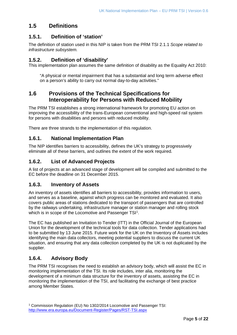# **1.5 Definitions**

#### **1.5.1. Definition of 'station'**

The definition of station used in this NIP is taken from the PRM TSI 2.1.1 *Scope related to infrastructure subsystem.* 

#### **1.5.2. Definition of 'disability'**

This implementation plan assumes the same definition of disability as the Equality Act 2010:

"A physical or mental impairment that has a substantial and long term adverse effect on a person's ability to carry out normal day-to-day activities."

### <span id="page-4-0"></span> **1.6 Provisions of the Technical Specifications for Interoperability for Persons with Reduced Mobility**

 The PRM TSI establishes a strong international framework for promoting EU action on for persons with disabilities and persons with reduced mobility. improving the accessibility of the trans-European conventional and high-speed rail system

There are three strands to the implementation of this regulation.

#### **1.6.1. National Implementation Plan**

 eliminate all of these barriers, and outlines the extent of the work required. The NIP identifies barriers to accessibility, defines the UK's strategy to progressively

#### **1.6.2. List of Advanced Projects**

 EC before the deadline on 31 December 2015. A list of projects at an advanced stage of development will be compiled and submitted to the

#### **1.6.3. Inventory of Assets**

 and serves as a baseline, against which progress can be monitored and evaluated. It also by the railways undertaking, infrastructure manager or station manager and rolling stock An inventory of assets identifies all barriers to accessibility, provides information to users, covers public areas of stations dedicated to the transport of passengers that are controlled which is in scope of the Locomotive and Passenger TSI<sup>[1](#page-4-1)</sup>.

 situation, and ensuring that any data collection completed by the UK is not duplicated by the The EC has published an Invitation to Tender (ITT) in the Official Journal of the European Union for the development of the technical tools for data collection. Tender applications had to be submitted by 13 June 2015. Future work for the UK on the Inventory of Assets includes identifying the main data collectors, meeting potential suppliers to discuss the current UK supplier.

#### **1.6.4. Advisory Body**

 monitoring implementation of the TSI. Its role includes, inter alia, monitoring the The PRM TSI recognises the need to establish an advisory body, which will assist the EC in development of a minimum data structure for the inventory of assets, assisting the EC in monitoring the implementation of the TSI, and facilitating the exchange of best practice among Member States.

<span id="page-4-1"></span> <http://www.era.europa.eu/Document-Register/Pages/RST-TSI.aspx>Page **5** of **22** 1 Commission Regulation (EU) No 1302/2014 Locomotive and Passenger TSI: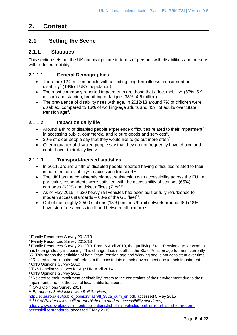# <span id="page-5-0"></span>**2. Context**

# **2.1 Setting the Scene**

#### **2.1.1. Statistics**

This section sets out the UK national picture in terms of persons with disabilities and persons with reduced mobility.

#### **2.1.1.1. General Demographics**

- There are 12.2 million people with a limiting long-term illness, impairment or disability<sup>2</sup> (19% of UK's population).
- The most commonly reported impairments are those that affect mobility<sup>[3](#page-5-2)</sup> (57%, 6.9) million) and stamina, breathing or fatigue (38%, 4.6 million).
- The prevalence of disability rises with age. In 2012/13 around 7% of children were disabled, compared to 16% of working-age adults and 43% of adults over State Pension age<sup>[4](#page-5-3)</sup>.

#### **2.1.1.2. Impact on daily life**

- Around a third of disabled people experience difficulties related to their impairment<sup>[5](#page-5-4)</sup> in accessing public, commercial and leisure goods and services $6$ .
- $\bullet$  30% of older people say that they would like to go out more often<sup>[7](#page-5-6)</sup>.
- • Over a quarter of disabled people say that they do not frequently have choice and control over their daily lives<sup>[8](#page-5-7)</sup>.

#### **2.1.1.3. Transport-focused statistics**

- • In 2011, around a fifth of disabled people reported having difficulties related to their impairment or disability<sup>9</sup> in accessing transport<sup>[10](#page-5-9)</sup>.
- • The UK has the consistently highest satisfaction with accessibility across the EU. In particular, respondents were satisfied with the accessibility of stations (65%), carriages (63%) and ticket offices  $(71\%)^{11}$ .
- As of May 2015, 7,620 heavy rail vehicles had been built or fully refurbished to modern access standards  $-60\%$  of the GB fleet<sup>12</sup>.
- Out of the roughly 2,500 stations (18%) on the UK rail network around 460 (18%) have step-free access to all and between all platforms.

<span id="page-5-9"></span>10 ONS Opinions Survey 2011

[http://ec.europa.eu/public\\_opinion/flash/fl\\_382a\\_sum\\_en.pdf,](http://ec.europa.eu/public_opinion/flash/fl_382a_sum_en.pdf) accessed 5 May 2015

<span id="page-5-11"></span><sup>12</sup> List of Rail Vehicles built or refurbished to modern accessibility standards,

<span id="page-5-1"></span><sup>2</sup> Family Resources Survey 2012/13

<span id="page-5-2"></span><sup>3</sup> Family Resources Survey 2012/13

<span id="page-5-3"></span><sup>4</sup> Family Resources Survey 2012/13. From 6 April 2010, the qualifying State Pension age for women has been gradually increasing. This change does not affect the State Pension age for men, currently 65. This means the definition of both State Pension age and Working age is not consistent over time. 5 "Related to the impairment" refers to the constraints of their environment due to their impairment.

<span id="page-5-5"></span><span id="page-5-4"></span><sup>6</sup> ONS Opinions Survey 2010

<span id="page-5-6"></span><sup>7</sup> TNS Loneliness survey for Age UK, April 2014

<span id="page-5-7"></span><sup>8</sup> ONS Opinions Survey 2011

<span id="page-5-8"></span> 9 "Related to their impairment or disability" refers to the constraints of their environment due to their impairment, and not the lack of local public transport.

<span id="page-5-10"></span><sup>11</sup>*Europeans Satisfaction with Rail Services*,

[https://www.gov.uk/government/publications/list-of-rail-vehicles-built-or-refurbished-to-modern](https://www.gov.uk/government/publications/list-of-rail-vehicles-built-or-refurbished-to-modern-accessibility-standards)[accessibility-standards,](https://www.gov.uk/government/publications/list-of-rail-vehicles-built-or-refurbished-to-modern-accessibility-standards) accessed 7 May 2015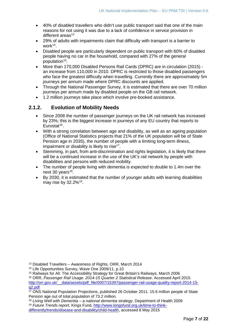- 40% of disabled travellers who didn't use public transport said that one of the main reasons for not using it was due to a lack of confidence in service provision in different areas<sup>[13](#page-6-0)</sup>
- 29% of adults with impairments claim that difficulty with transport is a barrier to work $14$ .
- Disabled people are particularly dependent on public transport with 60% of disabled people having no car in the household, compared with 27% of the general population<sup>15</sup>.
- • More than 170,000 Disabled Persons Rail Cards (DPRC) are in circulation (2015) an increase from 110,000 in 2010. DPRC is restricted to those disabled passengers who face the greatest difficulty when travelling. Currently there are approximately 5m journeys per annum made where DPRC discounts are applied.
- • Through the National Passenger Survey, it is estimated that there are over 70 million journeys per annum made by disabled people on the GB rail network.
- 1.2 million journeys take place which involve pre-booked assistance.

# **2.1.2. Evolution of Mobility Needs**

- by 23%; this is the biggest increase in journeys of any EU country that reports to • Since 2008 the number of passenger journeys on the UK rail network has increased Eurostat<sup>[16](#page-6-3)</sup>.
- With a strong correlation between age and disability, as well as an ageing population (Office of National Statistics projects that 21% of the UK population will be of State Pension age in 2035), the number of people with a limiting long-term illness, impairment or disability is likely to rise<sup>17</sup>.
- • Stemming, in part, from anti-discrimination and rights legislation, it is likely that there will be a continued increase in the use of the UK's rail network by people with disabilities and persons with reduced mobility.
- The number of people living with dementia is expected to double to 1.4m over the next 30 years $18$ .
- By 2030, it is estimated that the number of younger adults with learning disabilities may rise by 32.2%[19.](#page-6-6)

<span id="page-6-3"></span>16 ORR, *Passenger Rail Usage. 2014-15 Quarter 2 Statistical Release*. Accessed April 2015. [http://orr.gov.uk/\\_\\_data/assets/pdf\\_file/0007/15397/passenger-rail-usage-quality-report-2014-15](http://orr.gov.uk/__data/assets/pdf_file/0007/15397/passenger-rail-usage-quality-report-2014-15-q2.pdf) [q2.pdf](http://orr.gov.uk/__data/assets/pdf_file/0007/15397/passenger-rail-usage-quality-report-2014-15-q2.pdf) 

<span id="page-6-6"></span>19 *Future Trends report,* Kings Fund, [http://www.kingsfund.org.uk/time-to-think-](http://www.kingsfund.org.uk/time-to-think-differently/trends/disease-and-disability/child-health)

<span id="page-6-0"></span><sup>13</sup> Disabled Travellers – Awareness of Rights, ORR, March 2014

<span id="page-6-1"></span><sup>14</sup> Life Opportunities Survey, Wave One 2009/11, p.10

<span id="page-6-2"></span><sup>15</sup> Railways for All. The Accessibility Strategy for Great Britain's Railways, March 2006

<span id="page-6-4"></span><sup>&</sup>lt;sup>17</sup> ONS National Population Projections, published 26 October 2011. 15.6 million people of State Pension age out of total population of 73.2 million.

<span id="page-6-5"></span><sup>18</sup>*Living Well with Dementia – a national dementia strategy*, Department of Health 2009

[differently/trends/disease-and-disability/child-health,](http://www.kingsfund.org.uk/time-to-think-differently/trends/disease-and-disability/child-health) accessed 8 May 2015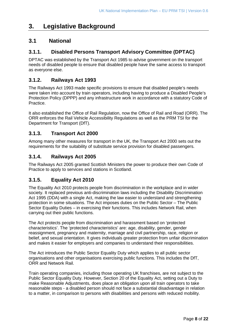# **3. Legislative Background**

# **3.1 National**

# **3.1.1. Disabled Persons Transport Advisory Committee (DPTAC)**

 DPTAC was established by the Transport Act 1985 to advise government on the transport needs of disabled people to ensure that disabled people have the same access to transport as everyone else.

#### **3.1.2. Railways Act 1993**

The Railways Act 1993 made specific provisions to ensure that disabled people's needs were taken into account by train operators, including having to produce a Disabled People's Protection Policy (DPPP) and any infrastructure work in accordance with a statutory Code of Practice.

 It also established the Office of Rail Regulation, now the Office of Rail and Road (ORR). The ORR enforces the Rail Vehicle Accessibility Regulations as well as the PRM TSI for the Department for Transport (DfT).

#### **3.1.3. Transport Act 2000**

 Among many other measures for transport in the UK, the Transport Act 2000 sets out the requirements for the suitability of substitute service provision for disabled passengers.

#### **3.1.4. Railways Act 2005**

The Railways Act 2005 granted Scottish Ministers the power to produce their own Code of Practice to apply to services and stations in Scotland.

# **3.1.5. Equality Act 2010**

 protection in some situations. The Act imposes duties on the Public Sector – The Public The Equality Act 2010 protects people from discrimination in the workplace and in wider society. It replaced previous anti-discrimination laws including the Disability Discrimination Act 1995 (DDA) with a single Act, making the law easier to understand and strengthening Sector Equality Duties – in exercising their functions. This includes Network Rail, when carrying out their public functions.

 characteristics'. The 'protected characteristics' are: age, disability, gender, gender reassignment, pregnancy and maternity, marriage and civil partnership, race, religion or The Act protects people from discrimination and harassment based on 'protected belief, and sexual orientation. It gives individuals greater protection from unfair discrimination and makes it easier for employers and companies to understand their responsibilities.

 organisations and other organisations exercising public functions. This includes the DfT, The Act introduces the Public Sector Equality Duty which applies to all public sector ORR and Network Rail.

Train operating companies, including those operating UK franchises, are not subject to the Public Sector Equality Duty. However, Section 20 of the Equality Act, setting out a Duty to make Reasonable Adjustments, does place an obligation upon all train operators to take reasonable steps - a disabled person should not face a substantial disadvantage in relation to a matter, in comparison to persons with disabilities and persons with reduced mobility.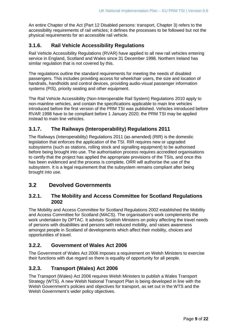An entire Chapter of the Act (Part 12 Disabled persons: transport, Chapter 3) refers to the accessibility requirements of rail vehicles; it defines the processes to be followed but not the physical requirements for an accessible rail vehicle.

#### **3.1.6. Rail Vehicle Accessibility Regulations**

Rail Vehicle Accessibility Regulations (RVAR) have applied to all new rail vehicles entering service in England, Scotland and Wales since 31 December 1998. Northern Ireland has similar regulation that is not covered by this.

 systems (PIS), priority seating and other equipment. The regulations outline the standard requirements for meeting the needs of disabled passengers. This includes providing access for wheelchair users, the size and location of handrails, handholds and control devices, providing audio-visual passenger information

The Rail Vehicle Accessibility (Non-Interoperable Rail System) Regulations 2010 apply to non-mainline vehicles, and contain the specifications applicable to main line vehicles introduced before the first version of the PRM TSI was published. Vehicles introduced before RVAR 1998 have to be compliant before 1 January 2020; the PRM TSI may be applied instead to main line vehicles.

#### **3.1.7. The Railways (Interoperability) Regulations 2011**

 The Railways (Interoperability) Regulations 2011 (as amended) (RIR) is the domestic legislation that enforces the application of the TSI. RIR requires new or upgraded subsystems (such as stations, rolling stock and signalling equipment) to be authorised before being brought into use. The authorisation process requires accredited organisations to certify that the project has applied the appropriate provisions of the TSIs, and once this has been evidenced and the process is complete, ORR will authorise the use of the subsystem. It is a legal requirement that the subsystem remains compliant after being brought into use.

## **3.2 Devolved Governments**

#### **3.2.1. The Mobility and Access Committee for Scotland Regulations 2002**

 amongst people in Scotland of developments which affect their mobility, choices and The Mobility and Access Committee for Scotland Regulations 2002 established the Mobility and Access Committee for Scotland (MACS). The organisation's work complements the work undertaken by DPTAC. It advises Scottish Ministers on policy affecting the travel needs of persons with disabilities and persons with reduced mobility, and raises awareness opportunities of travel.

## **3.2.2. Government of Wales Act 2006**

 The Government of Wales Act 2006 imposes a requirement on Welsh Ministers to exercise their functions with due regard so there is equality of opportunity for all people.

#### **3.2.3. Transport (Wales) Act 2006**

 The Transport (Wales) Act 2006 requires Welsh Ministers to publish a Wales Transport Strategy (WTS). A new Welsh National Transport Plan is being developed in line with the Welsh Government's policies and objectives for transport, as set out in the WTS and the Welsh Government's wider policy objectives.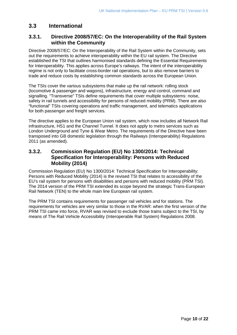### **3.3 International**

#### **3.3.1. Directive 2008/57/EC: On the Interoperability of the Rail System within the Community**

 for Interoperability. This applies across Europe's railways. The intent of the interoperability regime is not only to facilitate cross-border rail operations, but to also remove barriers to Directive 2008/57/EC: On the Interoperability of the Rail System within the Community, sets out the requirements to achieve interoperability within the EU rail system. The Directive established the TSI that outlines harmonised standards defining the Essential Requirements trade and reduce costs by establishing common standards across the European Union.

 The TSIs cover the various subsystems that make up the rail network: rolling stock (locomotive & passenger and wagons), infrastructure, energy and control, command and safety in rail tunnels and accessibility for persons of reduced mobility (PRM). There are also signalling. "Transverse" TSIs define requirements that cover multiple subsystems: noise, "functional" TSIs covering operations and traffic management, and telematics applications for both passenger and freight services.

 London Underground and Tyne & Wear Metro. The requirements of the Directive have been The directive applies to the European Union rail system, which now includes all Network Rail infrastructure, HS1 and the Channel Tunnel. It does not apply to metro services such as transposed into GB domestic legislation through the Railways (Interoperability) Regulations 2011 (as amended).

#### **3.3.2. Commission Regulation (EU) No 1300/2014: Technical Specification for Interoperability: Persons with Reduced Mobility (2014)**

 Persons with Reduced Mobility (2014) is the revised TSI that relates to accessibility of the Commission Regulation (EU) No 1300/2014: Technical Specification for Interoperability: EU's rail system for persons with disabilities and persons with reduced mobility (PRM TSI). The 2014 version of the PRM TSI extended its scope beyond the strategic Trans-European Rail Network (TEN) to the whole main line European rail system.

 The PRM TSI contains requirements for passenger rail vehicles and for stations. The requirements for vehicles are very similar to those in the RVAR: when the first version of the PRM TSI came into force, RVAR was revised to exclude those trains subject to the TSI, by means of The Rail Vehicle Accessibility (Interoperable Rail System) Regulations 2008.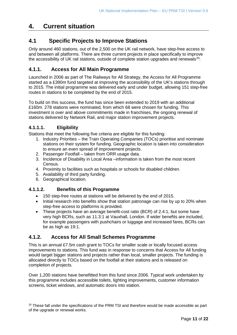# <span id="page-10-0"></span>**4. Current situation**

# **4.1 Specific Projects to Improve Stations**

 Only around 460 stations, out of the 2,500 on the UK rail network, have step-free access to and between all platforms. There are three current projects in place specifically to improve the accessibility of UK rail stations, outside of complete station upgrades and renewals<sup>[20](#page-10-1)</sup>:

#### **4.1.1. Access for All Main Programme**

 Launched in 2006 as part of The Railways for All Strategy, the Access for All Programme started as a £390m fund targeted at improving the accessibility of the UK's stations through to 2015. The initial programme was delivered early and under budget, allowing 151 step-free routes in stations to be completed by the end of 2015.

 £160m. 278 stations were nominated, from which 68 were chosen for funding. This To build on this success, the fund has since been extended to 2019 with an additional investment is over and above commitments made in franchises, the ongoing renewal of stations delivered by Network Rail, and major station improvement projects.

#### **4.1.1.1. Eligibility**

Stations that meet the following five criteria are eligible for this funding:

- 1. Industry Priorities the Train Operating Companies (TOCs) prioritise and nominate stations on their system for funding. Geographic location is taken into consideration to ensure an even spread of improvement projects.
- 2. Passenger Footfall taken from ORR usage data.
- 3. Incidence of Disability in Local Area –information is taken from the most recent Census.
- 4. Proximity to facilities such as hospitals or schools for disabled children.
- 5. Availability of third party funding.
- 6. Geographical location.

#### **4.1.1.2. Benefits of this Programme**

- 150 step-free routes at stations will be delivered by the end of 2015.
- Initial research into benefits show that station patronage can rise by up to 20% when step-free access to platforms is provided.
- These projects have an average benefit-cost ratio (BCR) of 2.4:1, but some have very high BCRs, such as 11.3:1 at Vauxhall, London. If wider benefits are included, for example passengers with pushchairs or luggage and increased fares, BCRs can be as high as 19:1.

#### **4.1.2. Access for All Small Schemes Programme**

 This is an annual £7.5m cash grant to TOCs for smaller scale or locally focused access improvements to stations. This fund was in response to concerns that Access for All funding would target bigger stations and projects rather than local, smaller projects. The funding is allocated directly to TOCs based on the footfall at their stations and is released on completion of projects.

Over 1,200 stations have benefitted from this fund since 2006. Typical work undertaken by this programme includes accessible toilets, lighting improvements, customer information screens, ticket windows, and automatic doors into station.

<span id="page-10-1"></span><sup>20</sup> These fall under the specifications of the PRM TSI and therefore would be made accessible as part of the upgrade or renewal works.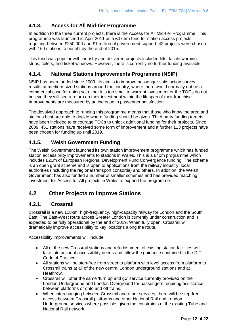#### **4.1.3. Access for All Mid-tier Programme**

 In addition to the three current projects, there is the Access for All Mid-tier Programme. This programme was launched in April 2011 as a £37.5m fund for station access projects requiring between £250,000 and £1 million of government support. 42 projects were chosen with 160 stations to benefit by the end of 2015.

This fund was popular with industry and delivered projects included lifts, tactile warning strips, toilets, and ticket windows. However, there is currently no further funding available.

#### **4.1.4. National Stations Improvements Programme (NSIP)**

 believe they will see a return on their investment within the lifespan of their franchise. NSIP has been funded since 2009. Its aim is to improve passenger satisfaction survey results at medium-sized stations around the country, where there would normally not be a commercial case for doing so; either it is too small to warrant investment or the TOCs do not Improvements are measured by an increase in passenger satisfaction.

 stations best are able to decide where funding should be given. Third party funding targets have been included to encourage TOCs to unlock additional funding for their projects. Since The devolved approach to running this programme means that those who know the area and 2009, 451 stations have received some form of improvement and a further 113 projects have been chosen for funding up until 2019.

#### **4.1.5. Welsh Government Funding**

 authorities (including the regional transport consortia) and others. In addition, the Welsh The Welsh Government launched its own station improvement programme which has funded station accessibility improvements to stations in Wales. This is a £40m programme which includes £21m of European Regional Development Fund Convergence funding. The scheme is an open grant scheme and is open to applications from the railway industry, local Government has also funded a number of smaller schemes and has provided matching investment for Access for All projects in Wales to expand the programme.

# **4.2 Other Projects to Improve Stations**

#### **4.2.1. Crossrail**

Crossrail is a new 118km, high-frequency, high-capacity railway for London and the South East. The East-West route across Greater London is currently under construction and is expected to be fully operational by the end of 2019. When fully open, Crossrail will dramatically improve accessibility to key locations along the route.

Accessibility improvements will include:

- All of the new Crossrail stations and refurbishment of existing station facilities will take into account accessibility needs and follow the guidance contained in the DfT Code of Practice.
- Crossrail trains at all of the new central London underground stations and at Heathrow. • All stations will be step-free from street to platform with level access from platform to
- between platforms or onto and off trains. • Crossrail will offer the same 'turn up and go' service currently provided on the London Underground and London Overground for passengers requiring assistance
- When interchanging between Crossrail and other services, there will be step-free access between Crossrail platforms and other National Rail and London Underground services where possible, given the constraints of the existing Tube and National Rail network.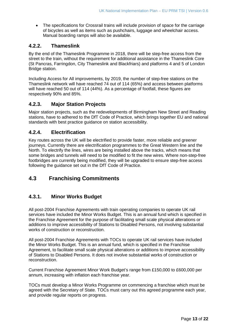• The specifications for Crossrail trains will include provision of space for the carriage of bicycles as well as items such as pushchairs, luggage and wheelchair access. Manual boarding ramps will also be available.

#### **4.2.2. Thameslink**

 street to the train, without the requirement for additional assistance in the Thameslink Core By the end of the Thameslink Programme in 2018, there will be step-free access from the (St Pancras, Farringdon, City Thameslink and Blackfriars) and platforms 4 and 5 of London Bridge station.

 will have reached 50 out of 114 (44%). As a percentage of footfall, these figures are Including Access for All improvements, by 2019, the number of step-free stations on the Thameslink network will have reached 74 out of 114 (65%) and access between platforms respectively 90% and 85%.

#### **4.2.3. Major Station Projects**

Major station projects, such as the redevelopments of Birmingham New Street and Reading stations, have to adhered to the DfT Code of Practice, which brings together EU and national standards with best practice guidance on station accessibility.

#### **4.2.4. Electrification**

 North. To electrify the lines, wires are being installed above the tracks, which means that footbridges are currently being modified, they will be upgraded to ensure step-free access Key routes across the UK will be electrified to provide faster, more reliable and greener journeys. Currently there are electrification programmes to the Great Western line and the some bridges and tunnels will need to be modified to fit the new wires. Where non-step-free following the guidance set out in the DfT Code of Practice.

# **4.3 Franchising Commitments**

## **4.3.1. Minor Works Budget**

All post-2004 Franchise Agreements with train operating companies to operate UK rail services have included the Minor Works Budget. This is an annual fund which is specified in the Franchise Agreement for the purpose of facilitating small scale physical alterations or additions to improve accessibility of Stations to Disabled Persons, not involving substantial works of construction or reconstruction.

 the Minor Works Budget. This is an annual fund, which is specified in the Franchise All post-2004 Franchise Agreements with TOCs to operate UK rail services have included Agreement, to facilitate small scale physical alterations or additions to improve accessibility of Stations to Disabled Persons. It does not involve substantial works of construction or reconstruction.

Current Franchise Agreement Minor Work Budget's range from £150,000 to £600,000 per annum, increasing with inflation each franchise year.

 agreed with the Secretary of State. TOCs must carry out this agreed programme each year, TOCs must develop a Minor Works Programme on commencing a franchise which must be and provide regular reports on progress.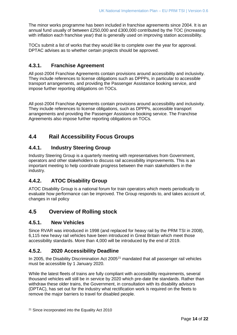with inflation each franchise year) that is generally used on improving station accessibility. The minor works programme has been included in franchise agreements since 2004. It is an annual fund usually of between £250,000 and £300,000 contributed by the TOC (increasing

 TOCs submit a list of works that they would like to complete over the year for approval. DPTAC advises as to whether certain projects should be approved.

### **4.3.1. Franchise Agreement**

All post-2004 Franchise Agreements contain provisions around accessibility and inclusivity. They include references to license obligations such as DPPPs, in particular to accessible transport arrangements, and providing the Passenger Assistance booking service, and impose further reporting obligations on TOCs.

 Agreements also impose further reporting obligations on TOCs. All post-2004 Franchise Agreements contain provisions around accessibility and inclusivity. They include references to license obligations, such as DPPPs, accessible transport arrangements and providing the Passenger Assistance booking service. The Franchise

# **4.4 Rail Accessibility Focus Groups**

#### **4.4.1. Industry Steering Group**

 Industry Steering Group is a quarterly meeting with representatives from Government, operators and other stakeholders to discuss rail accessibility improvements. This is an important meeting to help coordinate progress between the main stakeholders in the industry.

# **4.4.2. ATOC Disability Group**

 ATOC Disability Group is a national forum for train operators which meets periodically to evaluate how performance can be improved. The Group responds to, and takes account of, changes in rail policy

## **4.5 Overview of Rolling stock**

#### **4.5.1. New Vehicles**

 6,115 new heavy rail vehicles have been introduced in Great Britain which meet those Since RVAR was introduced in 1998 (and replaced for heavy rail by the PRM TSI in 2008), accessibility standards. More than 4,000 will be introduced by the end of 2019.

#### <span id="page-13-1"></span> $4.5.2.$ **4.5.2. 2020 Accessibility Deadline**

In 2005, the Disability Discrimination Act 2005<sup>[21](#page-13-0)</sup> mandated that all passenger rail vehicles must be accessible by 1 January 2020.

 While the latest fleets of trains are fully compliant with accessibility requirements, several thousand vehicles will still be in service by 2020 which pre-date the standards. Rather than withdraw these older trains, the Government, in consultation with its disability advisors (DPTAC), has set out for the industry what rectification work is required on the fleets to remove the major barriers to travel for disabled people.

<span id="page-13-0"></span><sup>&</sup>lt;sup>21</sup> Since incorporated into the Equality Act 2010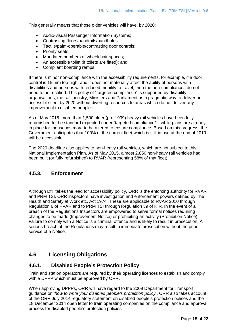This generally means that those older vehicles will have, by 2020:

- Audio-visual Passenger Information Systems;
- Contrasting floors/handrails/handholds;
- Tactile/palm-operable/contrasting door controls;
- Priority seats:
- Mandated numbers of wheelchair spaces;
- An accessible toilet (if toilets are fitted); and
- Compliant boarding ramps.

 If there is minor non-compliance with the accessibility requirements, for example, if a door accessible fleet by 2020 without diverting resources to areas which do not deliver any improvement to disabled people. control is 15 mm too high, and it does not materially affect the ability of persons with disabilities and persons with reduced mobility to travel, then the non-compliances do not need to be rectified. This policy of "targeted compliance" is supported by disability organisations, the rail industry, Ministers and Parliament as a pragmatic way to deliver an

 in place for thousands more to be altered to ensure compliance. Based on this progress, the Government anticipates that 100% of the current fleet which is still in use at the end of 2019 As of May 2015, more than 1,500 older (pre-1999) heavy rail vehicles have been fully refurbished to the standard expected under "targeted compliance" – while plans are already will be accessible.

 The 2020 deadline also applies to non-heavy rail vehicles, which are not subject to this been built (or fully refurbished) to RVAR (representing 58% of that fleet). National Implementation Plan. As of May 2015, almost 2,850 non-heavy rail vehicles had

#### **4.5.3. Enforcement**

 Although DfT takes the lead for accessibility policy, ORR is the enforcing authority for RVAR and PRM TSI. ORR inspectors have investigation and enforcement powers defined by The Regulation 6 of RVAR and to PRM TSI through Regulation 39 of RIR. In the event of a Health and Safety at Work etc. Act 1974. These are applicable to RVAR 2010 through breach of the Regulations Inspectors are empowered to serve formal notices requiring changes to be made (Improvement Notice) or prohibiting an activity (Prohibition Notice). Failure to comply with a Notice is a criminal offence and is likely to result in prosecution. A serious breach of the Regulations may result in immediate prosecution without the prior service of a Notice.

# **4.6 Licensing Obligations**

#### **4.6.1. Disabled People's Protection Policy**

Train and station operators are required by their operating licences to establish and comply with a DPPP which must be approved by ORR.

 When approving DPPPs, ORR will have regard to the 2009 Department for Transport of the ORR July 2014 regulatory statement on disabled people's protection polices and the guidance on '*how to write your disabled people's protection policy*'. ORR also takes account 18 December 2014 open letter to train operating companies on the compliance and approval process for disabled people's protection policies.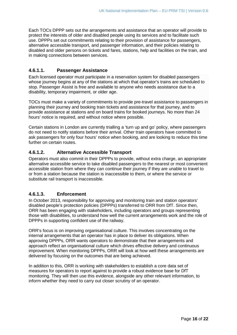Each TOCs DPPP sets out the arrangements and assistance that an operator will provide to protect the interests of older and disabled people using its services and to facilitate such use. DPPPs set out commitments relating to their provision of assistance for passengers, alternative accessible transport, and passenger information, and their policies relating to disabled and older persons on tickets and fares, stations, help and facilities on the train, and in making connections between services.

#### **4.6.1.1. Passenger Assistance**

 whose journey begins at any of the stations at which that operator's trains are scheduled to Each licensed operator must participate in a reservation system for disabled passengers stop. Passenger Assist is free and available to anyone who needs assistance due to a disability, temporary impairment, or older age.

 TOCs must make a variety of commitments to provide pre-travel assistance to passengers in planning their journey and booking train tickets and assistance for that journey, and to hours' notice is required, and without notice where possible. provide assistance at stations and on board trains for booked journeys. No more than 24

Certain stations in London are currently trialling a 'turn up and go' policy, where passengers do not need to notify stations before their arrival. Other train operators have committed to ask passengers for only four hours' notice when booking, and are looking to reduce this time further on certain routes.

#### **4.6.1.2. Alternative Accessible Transport**

 alternative accessible service to take disabled passengers to the nearest or most convenient Operators must also commit in their DPPPs to provide, without extra charge, an appropriate accessible station from where they can continue their journey if they are unable to travel to or from a station because the station is inaccessible to them, or where the service or substitute rail transport is inaccessible.

#### **4.6.1.3. Enforcement**

In October 2013, responsibility for approving and monitoring train and station operators' disabled people's protection policies (DPPPs) transferred to ORR from DfT. Since then, ORR has been engaging with stakeholders, including operators and groups representing those with disabilities, to understand how well the current arrangements work and the role of DPPPs in supporting confident use of the railway.

ORR's focus is on improving organisational culture. This involves concentrating on the internal arrangements that an operator has in place to deliver its obligations. When approving DPPPs, ORR wants operators to demonstrate that their arrangements and approach reflect an organisational culture which drives effective delivery and continuous improvement. When monitoring DPPPs, ORR will look at how well these arrangements are delivered by focusing on the outcomes that are being achieved.

 In addition to this, ORR is working with stakeholders to establish a core data set of measures for operators to report against to provide a robust evidence base for DfT monitoring. They will then use this evidence, alongside any other relevant information, to inform whether they need to carry out closer scrutiny of an operator.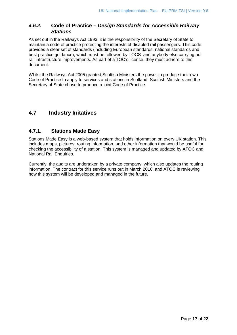#### *4.6.2.* **Code of Practice –** *Design Standards for Accessible Railway Stations*

 maintain a code of practice protecting the interests of disabled rail passengers. This code provides a clear set of standards (including European standards, national standards and best practice guidance), which must be followed by TOCS and anybody else carrying out As set out in the Railways Act 1993, it is the responsibility of the Secretary of State to rail infrastructure improvements. As part of a TOC's licence, they must adhere to this document.

Whilst the Railways Act 2005 granted Scottish Ministers the power to produce their own Code of Practice to apply to services and stations in Scotland, Scottish Ministers and the Secretary of State chose to produce a joint Code of Practice.

# **4.7 Industry Initatives**

#### **4.7.1. Stations Made Easy**

 includes maps, pictures, routing information, and other information that would be useful for Stations Made Easy is a web-based system that holds information on every UK station. This checking the accessibility of a station. This system is managed and updated by ATOC and National Rail Enquiries.

 information. The contract for this service runs out in March 2016, and ATOC is reviewing how this system will be developed and managed in the future. Currently, the audits are undertaken by a private company, which also updates the routing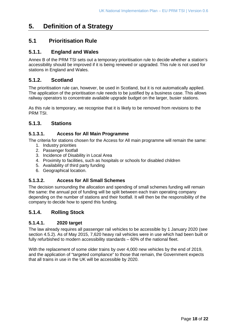# <span id="page-17-0"></span>**5. Definition of a Strategy**

### **5.1 Prioritisation Rule**

#### **5.1.1. England and Wales**

 accessibility should be improved if it is being renewed or upgraded. This rule is not used for stations in England and Wales. Annex B of the PRM TSI sets out a temporary prioritisation rule to decide whether a station's

#### **5.1.2. Scotland**

 railway operators to concentrate available upgrade budget on the larger, busier stations. The prioritisation rule can, however, be used in Scotland, but it is not automatically applied. The application of the prioritisation rule needs to be justified by a business case. This allows

 As this rule is temporary, we recognise that it is likely to be removed from revisions to the PRM TSI.

#### **5.1.3. Stations**

#### **5.1.3.1. Access for All Main Programme**

The criteria for stations chosen for the Access for All main programme will remain the same:

- 1. Industry priorities
- 2. Passenger footfall
- 3. Incidence of Disability in Local Area
- 4. Proximity to facilities, such as hospitals or schools for disabled children
- 5. Availability of third party funding
- 6. Geographical location.

#### **5.1.3.2. Access for All Small Schemes**

 depending on the number of stations and their footfall. It will then be the responsibility of the The decision surrounding the allocation and spending of small schemes funding will remain the same: the annual pot of funding will be split between each train operating company company to decide how to spend this funding.

#### **5.1.4. Rolling Stock**

#### **5.1.4.1. 2020 target**

fully refurbished to modern accessibility standards - 60% of the national fleet. The law already requires all passenger rail vehicles to be accessible by 1 January 2020 (see section [4.5.2\)](#page-13-1). As of May 2015, 7,620 heavy rail vehicles were in use which had been built or

fully refurbished to modern accessibility standards – 60% of the national fleet.<br>With the replacement of some older trains by over 4,000 new vehicles by the end of 2019, and the application of "targeted compliance" to those that remain, the Government expects that all trains in use in the UK will be accessible by 2020.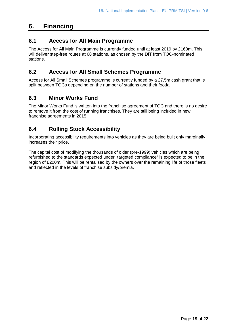# <span id="page-18-0"></span>**6. Financing**

# **6.1 Access for All Main Programme**

 The Access for All Main Programme is currently funded until at least 2019 by £160m. This will deliver step-free routes at 68 stations, as chosen by the DfT from TOC-nominated stations.

# **6.2 Access for All Small Schemes Programme**

Access for All Small Schemes programme is currently funded by a £7.5m cash grant that is split between TOCs depending on the number of stations and their footfall.

# **6.3 Minor Works Fund**

The Minor Works Fund is written into the franchise agreement of TOC and there is no desire to remove it from the cost of running franchises. They are still being included in new franchise agreements in 2015.

# **6.4 Rolling Stock Accessibility**

 increases their price. Incorporating accessibility requirements into vehicles as they are being built only marginally

The capital cost of modifying the thousands of older (pre-1999) vehicles which are being refurbished to the standards expected under "targeted compliance" is expected to be in the region of £200m. This will be rentalised by the owners over the remaining life of those fleets and reflected in the levels of franchise subsidy/premia.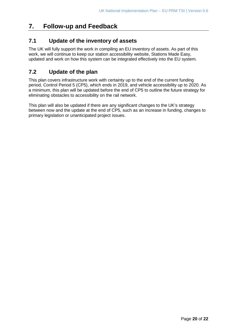# <span id="page-19-0"></span>**7. Follow-up and Feedback**

# **7.1 Update of the inventory of assets**

 The UK will fully support the work in compiling an EU inventory of assets. As part of this work, we will continue to keep our station accessibility website, Stations Made Easy, updated and work on how this system can be integrated effectively into the EU system.

# **7.2 Update of the plan**

 This plan covers infrastructure work with certainty up to the end of the current funding a minimum, this plan will be updated before the end of CP5 to outline the future strategy for period, Control Period 5 (CP5), which ends in 2019, and vehicle accessibility up to 2020. As eliminating obstacles to accessibility on the rail network.

 This plan will also be updated if there are any significant changes to the UK's strategy between now and the update at the end of CP5, such as an increase in funding, changes to primary legislation or unanticipated project issues.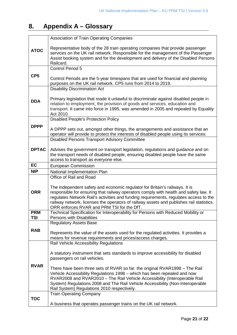# <span id="page-20-0"></span>**8. Appendix A – Glossary**

|                 | Association of Train Operating Companies                                                                                                                                                                                                                                                                                                                                                                |
|-----------------|---------------------------------------------------------------------------------------------------------------------------------------------------------------------------------------------------------------------------------------------------------------------------------------------------------------------------------------------------------------------------------------------------------|
| <b>ATOC</b>     | Representative body of the 28 train operating companies that provide passenger<br>services on the UK rail network. Responsible for the management of the Passenger<br>Assist booking system and for the development and delivery of the Disabled Persons<br>Railcard.                                                                                                                                   |
|                 | <b>Control Period 5</b>                                                                                                                                                                                                                                                                                                                                                                                 |
| CP <sub>5</sub> | Control Periods are the 5-year timespans that are used for financial and planning<br>purposes on the UK rail network. CP5 runs from 2014 to 2019.                                                                                                                                                                                                                                                       |
|                 | <b>Disability Discrimination Act</b>                                                                                                                                                                                                                                                                                                                                                                    |
| <b>DDA</b>      | Primary legislation that made it unlawful to discriminate against disabled people in<br>relation to employment, the provision of goods and services, education and<br>transport. It came into force in 1995, was amended in 2005 and repealed by Equality<br>Act 2010.                                                                                                                                  |
|                 | <b>Disabled People's Protection Policy</b>                                                                                                                                                                                                                                                                                                                                                              |
| <b>DPPP</b>     | A DPPP sets out, amongst other things, the arrangements and assistance that an<br>operator will provide to protect the interests of disabled people using its services.                                                                                                                                                                                                                                 |
|                 | <b>Disabled Persons Transport Advisory Committee</b>                                                                                                                                                                                                                                                                                                                                                    |
| <b>DPTAC</b>    | Advises the government on transport legislation, regulations and guidance and on<br>the transport needs of disabled people, ensuring disabled people have the same<br>access to transport as everyone else.                                                                                                                                                                                             |
| EC              | <b>European Commission</b>                                                                                                                                                                                                                                                                                                                                                                              |
| <b>NIP</b>      | National Implementation Plan                                                                                                                                                                                                                                                                                                                                                                            |
|                 | Office of Rail and Road                                                                                                                                                                                                                                                                                                                                                                                 |
| <b>ORR</b>      | The independent safety and economic regulator for Britain's railways. It is<br>responsible for ensuring that railway operators comply with health and safety law. It<br>regulates Network Rail's activities and funding requirements, regulates access to the<br>railway network, licenses the operators of railway assets and publishes rail statistics.<br>ORR enforces RVAR and PRM TSI for the DfT. |
| <b>PRM</b>      | Technical Specification for Interoperability for Persons with Reduced Mobility or                                                                                                                                                                                                                                                                                                                       |
| <b>TSI</b>      | <b>Persons with Disabilities</b><br><b>Regulatory Assets Base</b>                                                                                                                                                                                                                                                                                                                                       |
| <b>RAB</b>      | Represents the value of the assets used for the regulated activities. It provides a<br>means for revenue requirements and prices/access charges.                                                                                                                                                                                                                                                        |
|                 | Rail Vehicle Accessibility Regulations                                                                                                                                                                                                                                                                                                                                                                  |
| <b>RVAR</b>     | A statutory instrument that sets standards to improve accessibility for disabled<br>passengers on rail vehicles.                                                                                                                                                                                                                                                                                        |
|                 | There have been three sets of RVAR so far: the original RVAR1998 - The Rail<br>Vehicle Accessibility Regulations 1998 - which has been repealed and now<br>RVAR2008 and RVAR2010 - The Rail Vehicle Accessibility (Interoperable Rail<br>System) Regulations 2008 and The Rail Vehicle Accessibility (Non-Interoperable<br>Rail System) Regulations 2010 respectively.                                  |
|                 | <b>Train Operating Company</b>                                                                                                                                                                                                                                                                                                                                                                          |
| <b>TOC</b>      | A business that operates passenger trains on the UK rail network.                                                                                                                                                                                                                                                                                                                                       |